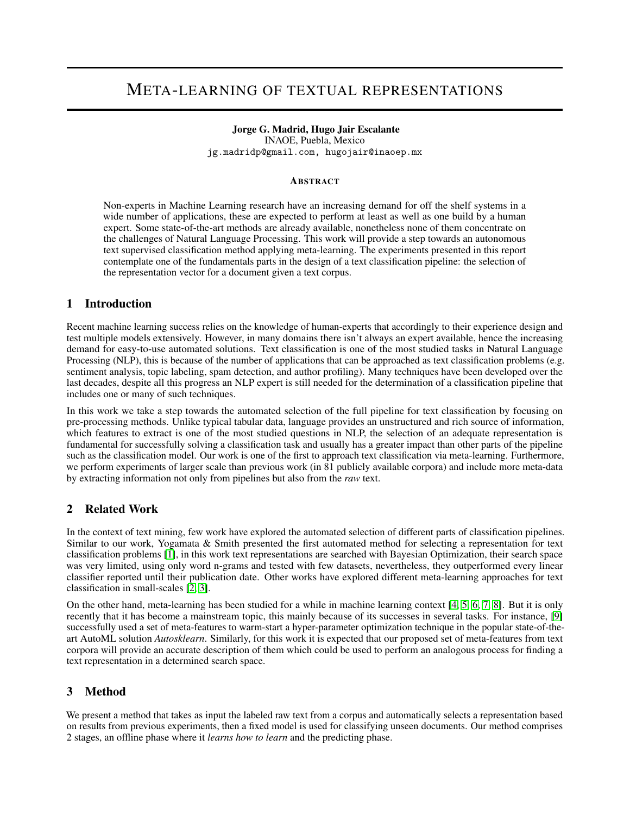# META-LEARNING OF TEXTUAL REPRESENTATIONS

### Jorge G. Madrid, Hugo Jair Escalante

INAOE, Puebla, Mexico jg.madridp@gmail.com, hugojair@inaoep.mx

#### ABSTRACT

Non-experts in Machine Learning research have an increasing demand for off the shelf systems in a wide number of applications, these are expected to perform at least as well as one build by a human expert. Some state-of-the-art methods are already available, nonetheless none of them concentrate on the challenges of Natural Language Processing. This work will provide a step towards an autonomous text supervised classification method applying meta-learning. The experiments presented in this report contemplate one of the fundamentals parts in the design of a text classification pipeline: the selection of the representation vector for a document given a text corpus.

## 1 Introduction

Recent machine learning success relies on the knowledge of human-experts that accordingly to their experience design and test multiple models extensively. However, in many domains there isn't always an expert available, hence the increasing demand for easy-to-use automated solutions. Text classification is one of the most studied tasks in Natural Language Processing (NLP), this is because of the number of applications that can be approached as text classification problems (e.g. sentiment analysis, topic labeling, spam detection, and author profiling). Many techniques have been developed over the last decades, despite all this progress an NLP expert is still needed for the determination of a classification pipeline that includes one or many of such techniques.

In this work we take a step towards the automated selection of the full pipeline for text classification by focusing on pre-processing methods. Unlike typical tabular data, language provides an unstructured and rich source of information, which features to extract is one of the most studied questions in NLP, the selection of an adequate representation is fundamental for successfully solving a classification task and usually has a greater impact than other parts of the pipeline such as the classification model. Our work is one of the first to approach text classification via meta-learning. Furthermore, we perform experiments of larger scale than previous work (in 81 publicly available corpora) and include more meta-data by extracting information not only from pipelines but also from the *raw* text.

## 2 Related Work

In the context of text mining, few work have explored the automated selection of different parts of classification pipelines. Similar to our work, Yogamata & Smith presented the first automated method for selecting a representation for text classification problems [\[1\]](#page-2-0), in this work text representations are searched with Bayesian Optimization, their search space was very limited, using only word n-grams and tested with few datasets, nevertheless, they outperformed every linear classifier reported until their publication date. Other works have explored different meta-learning approaches for text classification in small-scales [\[2,](#page-2-1) [3\]](#page-2-2).

On the other hand, meta-learning has been studied for a while in machine learning context [\[4,](#page-2-3) [5,](#page-2-4) [6,](#page-2-5) [7,](#page-2-6) [8\]](#page-2-7). But it is only recently that it has become a mainstream topic, this mainly because of its successes in several tasks. For instance, [\[9\]](#page-2-8) successfully used a set of meta-features to warm-start a hyper-parameter optimization technique in the popular state-of-theart AutoML solution *Autosklearn*. Similarly, for this work it is expected that our proposed set of meta-features from text corpora will provide an accurate description of them which could be used to perform an analogous process for finding a text representation in a determined search space.

## 3 Method

We present a method that takes as input the labeled raw text from a corpus and automatically selects a representation based on results from previous experiments, then a fixed model is used for classifying unseen documents. Our method comprises 2 stages, an offline phase where it *learns how to learn* and the predicting phase.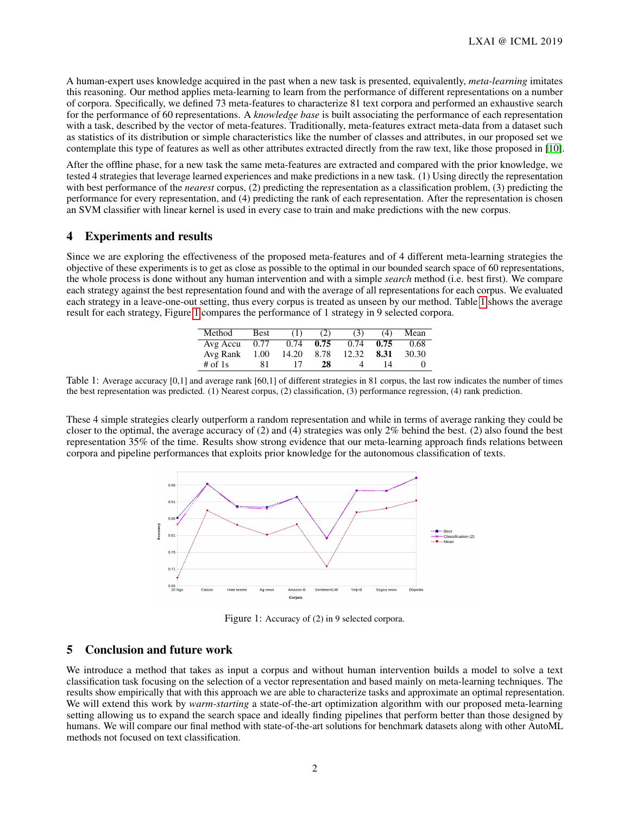A human-expert uses knowledge acquired in the past when a new task is presented, equivalently, *meta-learning* imitates this reasoning. Our method applies meta-learning to learn from the performance of different representations on a number of corpora. Specifically, we defined 73 meta-features to characterize 81 text corpora and performed an exhaustive search for the performance of 60 representations. A *knowledge base* is built associating the performance of each representation with a task, described by the vector of meta-features. Traditionally, meta-features extract meta-data from a dataset such as statistics of its distribution or simple characteristics like the number of classes and attributes, in our proposed set we contemplate this type of features as well as other attributes extracted directly from the raw text, like those proposed in [\[10\]](#page-2-9).

After the offline phase, for a new task the same meta-features are extracted and compared with the prior knowledge, we tested 4 strategies that leverage learned experiences and make predictions in a new task. (1) Using directly the representation with best performance of the *nearest* corpus, (2) predicting the representation as a classification problem, (3) predicting the performance for every representation, and (4) predicting the rank of each representation. After the representation is chosen an SVM classifier with linear kernel is used in every case to train and make predictions with the new corpus.

## 4 Experiments and results

Since we are exploring the effectiveness of the proposed meta-features and of 4 different meta-learning strategies the objective of these experiments is to get as close as possible to the optimal in our bounded search space of 60 representations, the whole process is done without any human intervention and with a simple *search* method (i.e. best first). We compare each strategy against the best representation found and with the average of all representations for each corpus. We evaluated each strategy in a leave-one-out setting, thus every corpus is treated as unseen by our method. Table [1](#page-1-0) shows the average result for each strategy, Figure [1](#page-1-1) compares the performance of 1 strategy in 9 selected corpora.

| Method    | <b>Best</b> | (1)   | (2)  | (3)   | (4)  | Mean  |
|-----------|-------------|-------|------|-------|------|-------|
| Avg Accu  | 0.77        | 0.74  | 0.75 | 0.74  | 0.75 | 0.68  |
| Avg Rank  | 1.00        | 14.20 | 8.78 | 12.32 | 8.31 | 30.30 |
| # of $1s$ | 81          |       | 28   |       | 14   |       |

<span id="page-1-0"></span>Table 1: Average accuracy [0,1] and average rank [60,1] of different strategies in 81 corpus, the last row indicates the number of times the best representation was predicted. (1) Nearest corpus, (2) classification, (3) performance regression, (4) rank prediction.

These 4 simple strategies clearly outperform a random representation and while in terms of average ranking they could be closer to the optimal, the average accuracy of  $(2)$  and  $(4)$  strategies was only  $2\%$  behind the best.  $(2)$  also found the best representation 35% of the time. Results show strong evidence that our meta-learning approach finds relations between corpora and pipeline performances that exploits prior knowledge for the autonomous classification of texts.



<span id="page-1-1"></span>Figure 1: Accuracy of (2) in 9 selected corpora.

#### 5 Conclusion and future work

We introduce a method that takes as input a corpus and without human intervention builds a model to solve a text classification task focusing on the selection of a vector representation and based mainly on meta-learning techniques. The results show empirically that with this approach we are able to characterize tasks and approximate an optimal representation. We will extend this work by *warm-starting* a state-of-the-art optimization algorithm with our proposed meta-learning setting allowing us to expand the search space and ideally finding pipelines that perform better than those designed by humans. We will compare our final method with state-of-the-art solutions for benchmark datasets along with other AutoML methods not focused on text classification.